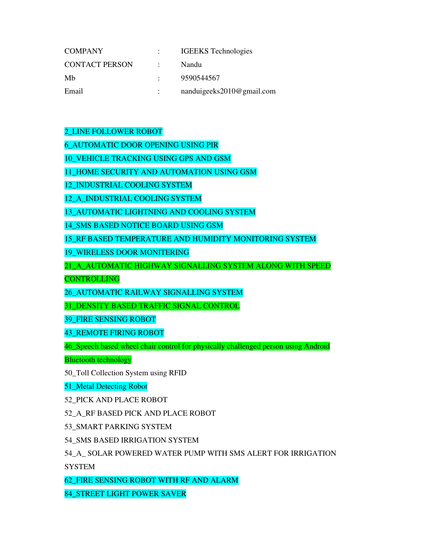| <b>COMPANY</b>        | <b>IGEEKS</b> Technologies |
|-----------------------|----------------------------|
| <b>CONTACT PERSON</b> | Nandu                      |
| Mh                    | 9590544567                 |
| Email                 | nanduigeeks2010@gmail.com  |

2\_LINE FOLLOWER ROBOT

6\_AUTOMATIC DOOR OPENING USING PIR

10\_VEHICLE TRACKING USING GPS AND GSM

11\_HOME SECURITY AND AUTOMATION USING GSM

12\_INDUSTRIAL COOLING SYSTEM

12 A INDUSTRIAL COOLING SYSTEM

13\_AUTOMATIC LIGHTNING AND COOLING SYSTEM

14\_SMS BASED NOTICE BOARD USING GSM

15\_RF BASED TEMPERATURE AND HUMIDITY MONITORING SYSTEM

19\_WIRELESS DOOR MONITERING

21\_A\_AUTOMATIC HIGHWAY SIGNALLING SYSTEM ALONG WITH SPEED

CONTROLLING

26\_AUTOMATIC RAILWAY SIGNALLING SYSTEM

31\_DENSITY BASED TRAFFIC SIGNAL CONTROL

39\_FIRE SENSING ROBOT

43\_REMOTE FIRING ROBOT

46\_Speech based wheel chair control for physically challenged person using Android

Bluetooth technology

50\_Toll Collection System using RFID

51\_Metal Detecting Robot

52\_PICK AND PLACE ROBOT

52\_A\_RF BASED PICK AND PLACE ROBOT

53\_SMART PARKING SYSTEM

54\_SMS BASED IRRIGATION SYSTEM

54\_A**\_** SOLAR POWERED WATER PUMP WITH SMS ALERT FOR IRRIGATION

SYSTEM

62\_FIRE SENSING ROBOT WITH RF AND ALARM

84\_STREET LIGHT POWER SAVER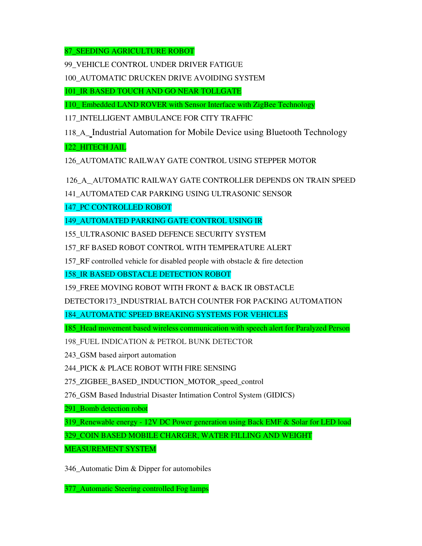87\_SEEDING AGRICULTURE ROBOT

99\_VEHICLE CONTROL UNDER DRIVER FATIGUE

100\_AUTOMATIC DRUCKEN DRIVE AVOIDING SYSTEM

101\_IR BASED TOUCH AND GO NEAR TOLLGATE

110\_ Embedded LAND ROVER with Sensor Interface with ZigBee Technology

117\_INTELLIGENT AMBULANCE FOR CITY TRAFFIC

118\_A\_ Industrial Automation for Mobile Device using Bluetooth Technology

122\_HITECH JAIL

126\_AUTOMATIC RAILWAY GATE CONTROL USING STEPPER MOTOR

126\_A\_ AUTOMATIC RAILWAY GATE CONTROLLER DEPENDS ON TRAIN SPEED

141\_AUTOMATED CAR PARKING USING ULTRASONIC SENSOR

147 PC CONTROLLED ROBOT

149\_AUTOMATED PARKING GATE CONTROL USING IR

155\_ULTRASONIC BASED DEFENCE SECURITY SYSTEM

157\_RF BASED ROBOT CONTROL WITH TEMPERATURE ALERT

157\_RF controlled vehicle for disabled people with obstacle & fire detection

158\_IR BASED OBSTACLE DETECTION ROBOT

159\_FREE MOVING ROBOT WITH FRONT & BACK IR OBSTACLE

DETECTOR173\_INDUSTRIAL BATCH COUNTER FOR PACKING AUTOMATION

184\_AUTOMATIC SPEED BREAKING SYSTEMS FOR VEHICLES

185\_Head movement based wireless communication with speech alert for Paralyzed Person

198\_FUEL INDICATION & PETROL BUNK DETECTOR

243 GSM based airport automation

244\_PICK & PLACE ROBOT WITH FIRE SENSING

275\_ZIGBEE\_BASED\_INDUCTION\_MOTOR\_speed\_control

276\_GSM Based Industrial Disaster Intimation Control System (GIDICS)

291\_Bomb detection robot

319\_Renewable energy - 12V DC Power generation using Back EMF & Solar for LED load

329\_COIN BASED MOBILE CHARGER, WATER FILLING AND WEIGHT

MEASUREMENT SYSTEM

346\_Automatic Dim & Dipper for automobiles

377\_Automatic Steering controlled Fog lamps